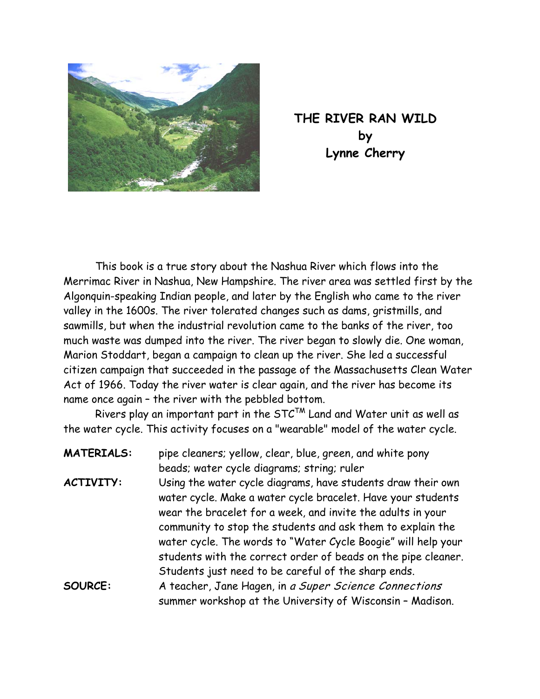

**THE RIVER RAN WILD by Lynne Cherry** 

This book is a true story about the Nashua River which flows into the Merrimac River in Nashua, New Hampshire. The river area was settled first by the Algonquin-speaking Indian people, and later by the English who came to the river valley in the 1600s. The river tolerated changes such as dams, gristmills, and sawmills, but when the industrial revolution came to the banks of the river, too much waste was dumped into the river. The river began to slowly die. One woman, Marion Stoddart, began a campaign to clean up the river. She led a successful citizen campaign that succeeded in the passage of the Massachusetts Clean Water Act of 1966. Today the river water is clear again, and the river has become its name once again – the river with the pebbled bottom.

Rivers play an important part in the  $STC^{TM}$  Land and Water unit as well as the water cycle. This activity focuses on a "wearable" model of the water cycle.

| <b>MATERIALS:</b> | pipe cleaners; yellow, clear, blue, green, and white pony                                                                                                                             |
|-------------------|---------------------------------------------------------------------------------------------------------------------------------------------------------------------------------------|
|                   | beads; water cycle diagrams; string; ruler                                                                                                                                            |
| <b>ACTIVITY:</b>  | Using the water cycle diagrams, have students draw their own<br>water cycle. Make a water cycle bracelet. Have your students                                                          |
|                   | wear the bracelet for a week, and invite the adults in your<br>community to stop the students and ask them to explain the                                                             |
|                   | water cycle. The words to "Water Cycle Boogie" will help your<br>students with the correct order of beads on the pipe cleaner.<br>Students just need to be careful of the sharp ends. |
| SOURCE:           | A teacher, Jane Hagen, in a Super Science Connections<br>summer workshop at the University of Wisconsin - Madison.                                                                    |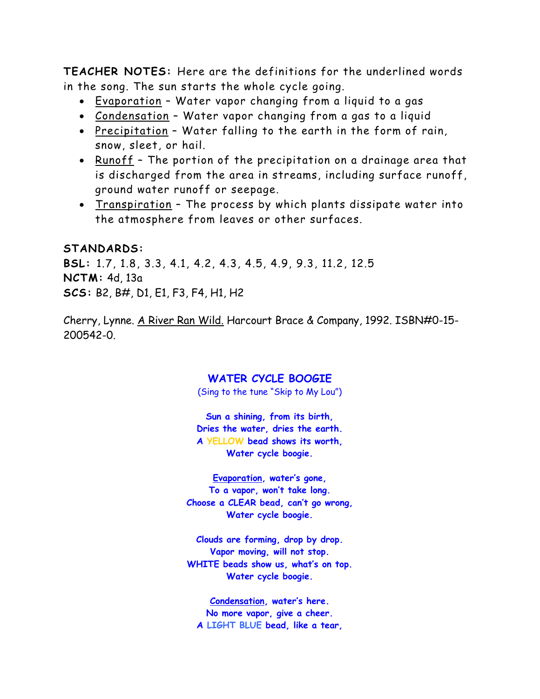**TEACHER NOTES:** Here are the definitions for the underlined words in the song. The sun starts the whole cycle going.

- Evaporation Water vapor changing from a liquid to a gas
- Condensation Water vapor changing from a gas to a liquid
- Precipitation Water falling to the earth in the form of rain, snow, sleet, or hail.
- Runoff The portion of the precipitation on a drainage area that is discharged from the area in streams, including surface runoff, ground water runoff or seepage.
- Transpiration The process by which plants dissipate water into the atmosphere from leaves or other surfaces.

## **STANDARDS:**

**BSL:** 1.7, 1.8, 3.3, 4.1, 4.2, 4.3, 4.5, 4.9, 9.3, 11.2, 12.5 **NCTM:** 4d, 13a **SCS:** B2, B#, D1, E1, F3, F4, H1, H2

Cherry, Lynne. A River Ran Wild. Harcourt Brace & Company, 1992. ISBN#0-15- 200542-0.

## **WATER CYCLE BOOGIE**

(Sing to the tune "Skip to My Lou")

**Sun a shining, from its birth, Dries the water, dries the earth. A YELLOW bead shows its worth, Water cycle boogie.** 

**Evaporation, water's gone, To a vapor, won't take long. Choose a CLEAR bead, can't go wrong, Water cycle boogie.** 

**Clouds are forming, drop by drop. Vapor moving, will not stop. WHITE beads show us, what's on top. Water cycle boogie.** 

**Condensation, water's here. No more vapor, give a cheer. A LIGHT BLUE bead, like a tear,**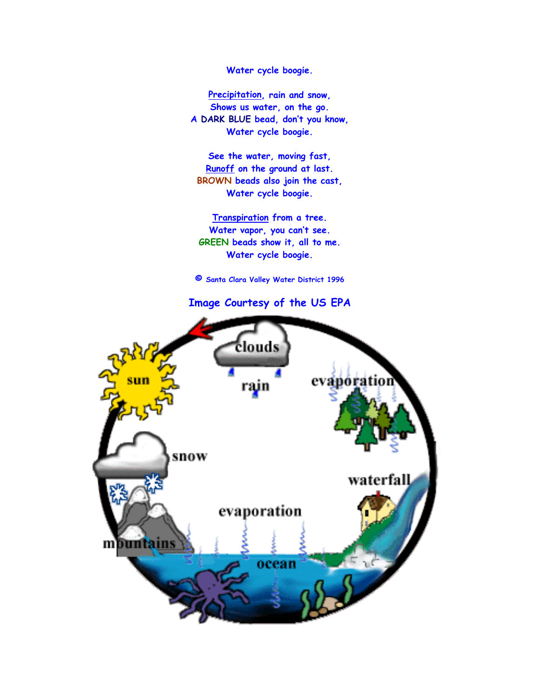**Water cycle boogie.** 

**Precipitation, rain and snow, Shows us water, on the go. A DARK BLUE bead, don't you know, Water cycle boogie.** 

**See the water, moving fast, Runoff on the ground at last. BROWN beads also join the cast, Water cycle boogie.** 

**Transpiration from a tree. Water vapor, you can't see. GREEN beads show it, all to me. Water cycle boogie.** 

**© Santa Clara Valley Water District 1996** 

**Image Courtesy of the US EPA**